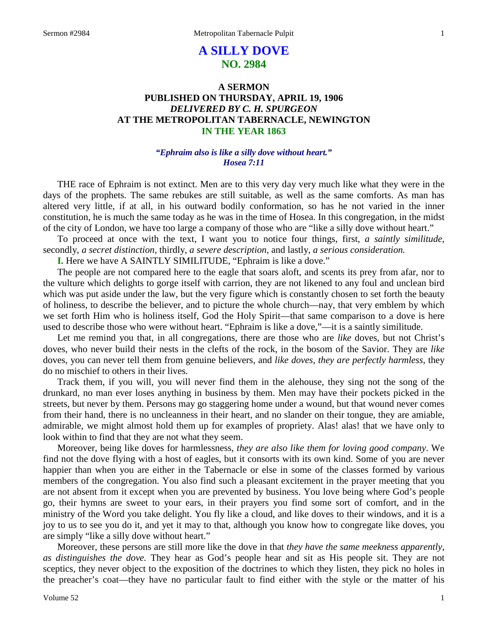# **A SILLY DOVE NO. 2984**

# **A SERMON PUBLISHED ON THURSDAY, APRIL 19, 1906** *DELIVERED BY C. H. SPURGEON* **AT THE METROPOLITAN TABERNACLE, NEWINGTON IN THE YEAR 1863**

### *"Ephraim also is like a silly dove without heart." Hosea 7:11*

THE race of Ephraim is not extinct. Men are to this very day very much like what they were in the days of the prophets. The same rebukes are still suitable, as well as the same comforts. As man has altered very little, if at all, in his outward bodily conformation, so has he not varied in the inner constitution, he is much the same today as he was in the time of Hosea. In this congregation, in the midst of the city of London, we have too large a company of those who are "like a silly dove without heart."

To proceed at once with the text, I want you to notice four things, first, *a saintly similitude,* secondly, *a secret distinction,* thirdly, *a severe description,* and lastly, *a serious consideration.*

**I.** Here we have A SAINTLY SIMILITUDE, "Ephraim is like a dove."

The people are not compared here to the eagle that soars aloft, and scents its prey from afar, nor to the vulture which delights to gorge itself with carrion, they are not likened to any foul and unclean bird which was put aside under the law, but the very figure which is constantly chosen to set forth the beauty of holiness, to describe the believer, and to picture the whole church—nay, that very emblem by which we set forth Him who is holiness itself, God the Holy Spirit—that same comparison to a dove is here used to describe those who were without heart. "Ephraim is like a dove,"—it is a saintly similitude.

Let me remind you that, in all congregations, there are those who are *like* doves, but not Christ's doves, who never build their nests in the clefts of the rock, in the bosom of the Savior. They are *like* doves, you can never tell them from genuine believers, and *like doves, they are perfectly harmless,* they do no mischief to others in their lives.

Track them, if you will, you will never find them in the alehouse, they sing not the song of the drunkard, no man ever loses anything in business by them. Men may have their pockets picked in the streets, but never by them. Persons may go staggering home under a wound, but that wound never comes from their hand, there is no uncleanness in their heart, and no slander on their tongue, they are amiable, admirable, we might almost hold them up for examples of propriety. Alas! alas! that we have only to look within to find that they are not what they seem.

Moreover, being like doves for harmlessness, *they are also like them for loving good company*. We find not the dove flying with a host of eagles, but it consorts with its own kind. Some of you are never happier than when you are either in the Tabernacle or else in some of the classes formed by various members of the congregation. You also find such a pleasant excitement in the prayer meeting that you are not absent from it except when you are prevented by business. You love being where God's people go, their hymns are sweet to your ears, in their prayers you find some sort of comfort, and in the ministry of the Word you take delight. You fly like a cloud, and like doves to their windows, and it is a joy to us to see you do it, and yet it may to that, although you know how to congregate like doves, you are simply "like a silly dove without heart."

Moreover, these persons are still more like the dove in that *they have the same meekness apparently, as distinguishes the dove.* They hear as God's people hear and sit as His people sit. They are not sceptics, they never object to the exposition of the doctrines to which they listen, they pick no holes in the preacher's coat—they have no particular fault to find either with the style or the matter of his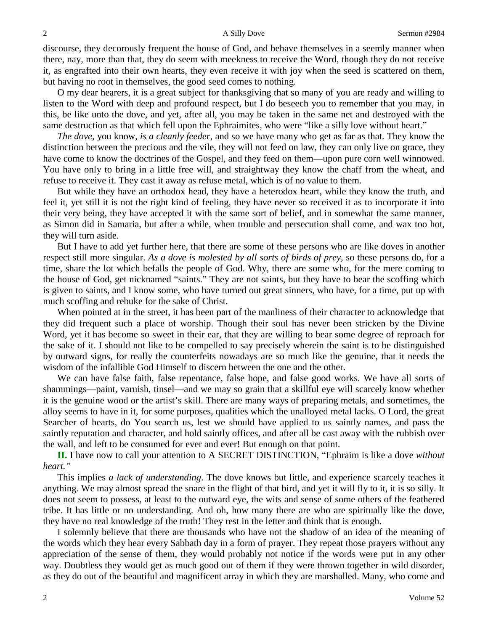discourse, they decorously frequent the house of God, and behave themselves in a seemly manner when there, nay, more than that, they do seem with meekness to receive the Word, though they do not receive it, as engrafted into their own hearts, they even receive it with joy when the seed is scattered on them, but having no root in themselves, the good seed comes to nothing.

O my dear hearers, it is a great subject for thanksgiving that so many of you are ready and willing to listen to the Word with deep and profound respect, but I do beseech you to remember that you may, in this, be like unto the dove, and yet, after all, you may be taken in the same net and destroyed with the same destruction as that which fell upon the Ephraimites, who were "like a silly love without heart."

*The dove,* you know, *is a cleanly feeder,* and so we have many who get as far as that. They know the distinction between the precious and the vile, they will not feed on law, they can only live on grace, they have come to know the doctrines of the Gospel, and they feed on them—upon pure corn well winnowed. You have only to bring in a little free will, and straightway they know the chaff from the wheat, and refuse to receive it. They cast it away as refuse metal, which is of no value to them.

But while they have an orthodox head, they have a heterodox heart, while they know the truth, and feel it, yet still it is not the right kind of feeling, they have never so received it as to incorporate it into their very being, they have accepted it with the same sort of belief, and in somewhat the same manner, as Simon did in Samaria, but after a while, when trouble and persecution shall come, and wax too hot, they will turn aside.

But I have to add yet further here, that there are some of these persons who are like doves in another respect still more singular. *As a dove is molested by all sorts of birds of prey,* so these persons do, for a time, share the lot which befalls the people of God. Why, there are some who, for the mere coming to the house of God, get nicknamed "saints." They are not saints, but they have to bear the scoffing which is given to saints, and I know some, who have turned out great sinners, who have, for a time, put up with much scoffing and rebuke for the sake of Christ.

When pointed at in the street, it has been part of the manliness of their character to acknowledge that they did frequent such a place of worship. Though their soul has never been stricken by the Divine Word, yet it has become so sweet in their ear, that they are willing to bear some degree of reproach for the sake of it. I should not like to be compelled to say precisely wherein the saint is to be distinguished by outward signs, for really the counterfeits nowadays are so much like the genuine, that it needs the wisdom of the infallible God Himself to discern between the one and the other.

We can have false faith, false repentance, false hope, and false good works. We have all sorts of shammings—paint, varnish, tinsel—and we may so grain that a skillful eye will scarcely know whether it is the genuine wood or the artist's skill. There are many ways of preparing metals, and sometimes, the alloy seems to have in it, for some purposes, qualities which the unalloyed metal lacks. O Lord, the great Searcher of hearts, do You search us, lest we should have applied to us saintly names, and pass the saintly reputation and character, and hold saintly offices, and after all be cast away with the rubbish over the wall, and left to be consumed for ever and ever! But enough on that point.

**II.** I have now to call your attention to A SECRET DISTINCTION, "Ephraim is like a dove *without heart."*

This implies *a lack of understanding*. The dove knows but little, and experience scarcely teaches it anything. We may almost spread the snare in the flight of that bird, and yet it will fly to it, it is so silly. It does not seem to possess, at least to the outward eye, the wits and sense of some others of the feathered tribe. It has little or no understanding. And oh, how many there are who are spiritually like the dove, they have no real knowledge of the truth! They rest in the letter and think that is enough.

I solemnly believe that there are thousands who have not the shadow of an idea of the meaning of the words which they hear every Sabbath day in a form of prayer. They repeat those prayers without any appreciation of the sense of them, they would probably not notice if the words were put in any other way. Doubtless they would get as much good out of them if they were thrown together in wild disorder, as they do out of the beautiful and magnificent array in which they are marshalled. Many, who come and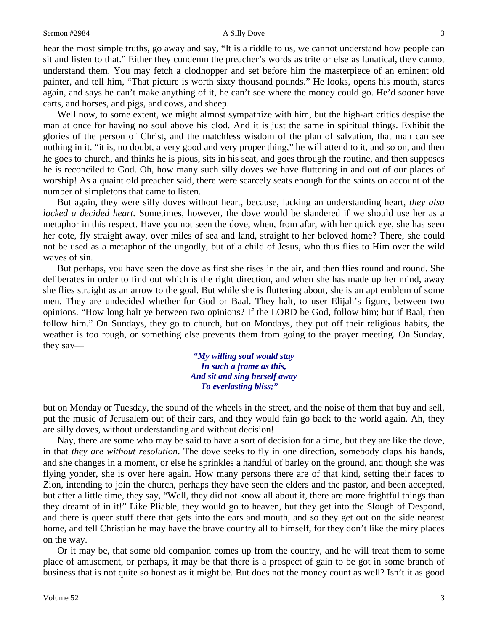### Sermon #2984 3

hear the most simple truths, go away and say, "It is a riddle to us, we cannot understand how people can sit and listen to that." Either they condemn the preacher's words as trite or else as fanatical, they cannot understand them. You may fetch a clodhopper and set before him the masterpiece of an eminent old painter, and tell him, "That picture is worth sixty thousand pounds." He looks, opens his mouth, stares again, and says he can't make anything of it, he can't see where the money could go. He'd sooner have carts, and horses, and pigs, and cows, and sheep.

Well now, to some extent, we might almost sympathize with him, but the high-art critics despise the man at once for having no soul above his clod. And it is just the same in spiritual things. Exhibit the glories of the person of Christ, and the matchless wisdom of the plan of salvation, that man can see nothing in it. "it is, no doubt, a very good and very proper thing," he will attend to it, and so on, and then he goes to church, and thinks he is pious, sits in his seat, and goes through the routine, and then supposes he is reconciled to God. Oh, how many such silly doves we have fluttering in and out of our places of worship! As a quaint old preacher said, there were scarcely seats enough for the saints on account of the number of simpletons that came to listen.

But again, they were silly doves without heart, because, lacking an understanding heart, *they also lacked a decided heart.* Sometimes, however, the dove would be slandered if we should use her as a metaphor in this respect. Have you not seen the dove, when, from afar, with her quick eye, she has seen her cote, fly straight away, over miles of sea and land, straight to her beloved home? There, she could not be used as a metaphor of the ungodly, but of a child of Jesus, who thus flies to Him over the wild waves of sin.

But perhaps, you have seen the dove as first she rises in the air, and then flies round and round. She deliberates in order to find out which is the right direction, and when she has made up her mind, away she flies straight as an arrow to the goal. But while she is fluttering about, she is an apt emblem of some men. They are undecided whether for God or Baal. They halt, to user Elijah's figure, between two opinions. "How long halt ye between two opinions? If the LORD be God, follow him; but if Baal, then follow him." On Sundays, they go to church, but on Mondays, they put off their religious habits, the weather is too rough, or something else prevents them from going to the prayer meeting. On Sunday, they say—

> *"My willing soul would stay In such a frame as this, And sit and sing herself away To everlasting bliss;"—*

but on Monday or Tuesday, the sound of the wheels in the street, and the noise of them that buy and sell, put the music of Jerusalem out of their ears, and they would fain go back to the world again. Ah, they are silly doves, without understanding and without decision!

Nay, there are some who may be said to have a sort of decision for a time, but they are like the dove, in that *they are without resolution*. The dove seeks to fly in one direction, somebody claps his hands, and she changes in a moment, or else he sprinkles a handful of barley on the ground, and though she was flying yonder, she is over here again. How many persons there are of that kind, setting their faces to Zion, intending to join the church, perhaps they have seen the elders and the pastor, and been accepted, but after a little time, they say, "Well, they did not know all about it, there are more frightful things than they dreamt of in it!" Like Pliable, they would go to heaven, but they get into the Slough of Despond, and there is queer stuff there that gets into the ears and mouth, and so they get out on the side nearest home, and tell Christian he may have the brave country all to himself, for they don't like the miry places on the way.

Or it may be, that some old companion comes up from the country, and he will treat them to some place of amusement, or perhaps, it may be that there is a prospect of gain to be got in some branch of business that is not quite so honest as it might be. But does not the money count as well? Isn't it as good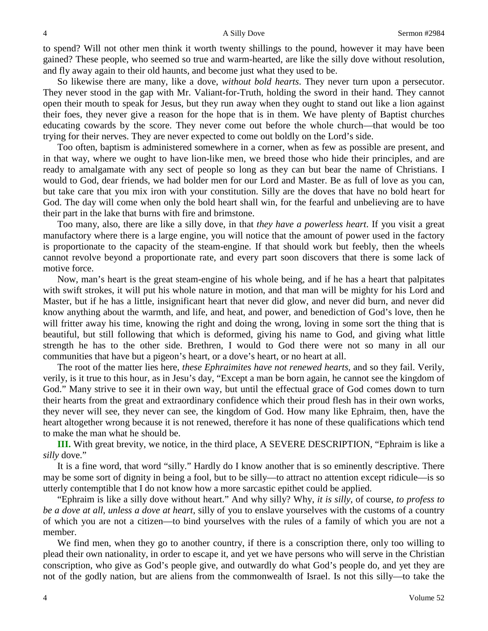to spend? Will not other men think it worth twenty shillings to the pound, however it may have been gained? These people, who seemed so true and warm-hearted, are like the silly dove without resolution, and fly away again to their old haunts, and become just what they used to be.

So likewise there are many, like a dove, *without bold hearts*. They never turn upon a persecutor. They never stood in the gap with Mr. Valiant-for-Truth, holding the sword in their hand. They cannot open their mouth to speak for Jesus, but they run away when they ought to stand out like a lion against their foes, they never give a reason for the hope that is in them. We have plenty of Baptist churches educating cowards by the score. They never come out before the whole church—that would be too trying for their nerves. They are never expected to come out boldly on the Lord's side.

Too often, baptism is administered somewhere in a corner, when as few as possible are present, and in that way, where we ought to have lion-like men, we breed those who hide their principles, and are ready to amalgamate with any sect of people so long as they can but bear the name of Christians. I would to God, dear friends, we had bolder men for our Lord and Master. Be as full of love as you can, but take care that you mix iron with your constitution. Silly are the doves that have no bold heart for God. The day will come when only the bold heart shall win, for the fearful and unbelieving are to have their part in the lake that burns with fire and brimstone.

Too many, also, there are like a silly dove, in that *they have a powerless heart*. If you visit a great manufactory where there is a large engine, you will notice that the amount of power used in the factory is proportionate to the capacity of the steam-engine. If that should work but feebly, then the wheels cannot revolve beyond a proportionate rate, and every part soon discovers that there is some lack of motive force.

Now, man's heart is the great steam-engine of his whole being, and if he has a heart that palpitates with swift strokes, it will put his whole nature in motion, and that man will be mighty for his Lord and Master, but if he has a little, insignificant heart that never did glow, and never did burn, and never did know anything about the warmth, and life, and heat, and power, and benediction of God's love, then he will fritter away his time, knowing the right and doing the wrong, loving in some sort the thing that is beautiful, but still following that which is deformed, giving his name to God, and giving what little strength he has to the other side. Brethren, I would to God there were not so many in all our communities that have but a pigeon's heart, or a dove's heart, or no heart at all.

The root of the matter lies here, *these Ephraimites have not renewed hearts,* and so they fail. Verily, verily, is it true to this hour, as in Jesu's day, "Except a man be born again, he cannot see the kingdom of God." Many strive to see it in their own way, but until the effectual grace of God comes down to turn their hearts from the great and extraordinary confidence which their proud flesh has in their own works, they never will see, they never can see, the kingdom of God. How many like Ephraim, then, have the heart altogether wrong because it is not renewed, therefore it has none of these qualifications which tend to make the man what he should be.

**III.** With great brevity, we notice, in the third place, A SEVERE DESCRIPTION, "Ephraim is like a *silly* dove."

It is a fine word, that word "silly." Hardly do I know another that is so eminently descriptive. There may be some sort of dignity in being a fool, but to be silly—to attract no attention except ridicule—is so utterly contemptible that I do not know how a more sarcastic epithet could be applied.

"Ephraim is like a silly dove without heart." And why silly? Why, *it is silly,* of course, *to profess to be a dove at all, unless a dove at heart,* silly of you to enslave yourselves with the customs of a country of which you are not a citizen—to bind yourselves with the rules of a family of which you are not a member.

We find men, when they go to another country, if there is a conscription there, only too willing to plead their own nationality, in order to escape it, and yet we have persons who will serve in the Christian conscription, who give as God's people give, and outwardly do what God's people do, and yet they are not of the godly nation, but are aliens from the commonwealth of Israel. Is not this silly—to take the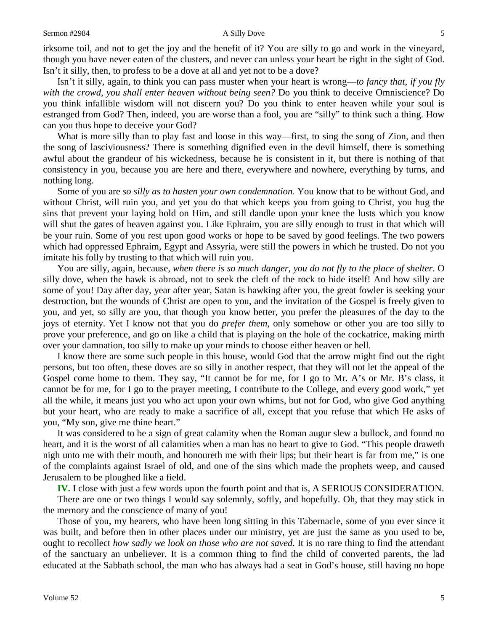irksome toil, and not to get the joy and the benefit of it? You are silly to go and work in the vineyard, though you have never eaten of the clusters, and never can unless your heart be right in the sight of God. Isn't it silly, then, to profess to be a dove at all and yet not to be a dove?

Isn't it silly, again, to think you can pass muster when your heart is wrong—*to fancy that, if you fly with the crowd, you shall enter heaven without being seen?* Do you think to deceive Omniscience? Do you think infallible wisdom will not discern you? Do you think to enter heaven while your soul is estranged from God? Then, indeed, you are worse than a fool, you are "silly" to think such a thing. How can you thus hope to deceive your God?

What is more silly than to play fast and loose in this way—first, to sing the song of Zion, and then the song of lasciviousness? There is something dignified even in the devil himself, there is something awful about the grandeur of his wickedness, because he is consistent in it, but there is nothing of that consistency in you, because you are here and there, everywhere and nowhere, everything by turns, and nothing long.

Some of you are *so silly as to hasten your own condemnation.* You know that to be without God, and without Christ, will ruin you, and yet you do that which keeps you from going to Christ, you hug the sins that prevent your laying hold on Him, and still dandle upon your knee the lusts which you know will shut the gates of heaven against you. Like Ephraim, you are silly enough to trust in that which will be your ruin. Some of you rest upon good works or hope to be saved by good feelings. The two powers which had oppressed Ephraim, Egypt and Assyria, were still the powers in which he trusted. Do not you imitate his folly by trusting to that which will ruin you.

You are silly, again, because, *when there is so much danger, you do not fly to the place of shelter*. O silly dove, when the hawk is abroad, not to seek the cleft of the rock to hide itself! And how silly are some of you! Day after day, year after year, Satan is hawking after you, the great fowler is seeking your destruction, but the wounds of Christ are open to you, and the invitation of the Gospel is freely given to you, and yet, so silly are you, that though you know better, you prefer the pleasures of the day to the joys of eternity. Yet I know not that you do *prefer them,* only somehow or other you are too silly to prove your preference, and go on like a child that is playing on the hole of the cockatrice, making mirth over your damnation, too silly to make up your minds to choose either heaven or hell.

I know there are some such people in this house, would God that the arrow might find out the right persons, but too often, these doves are so silly in another respect, that they will not let the appeal of the Gospel come home to them. They say, "It cannot be for me, for I go to Mr. A's or Mr. B's class, it cannot be for me, for I go to the prayer meeting, I contribute to the College, and every good work," yet all the while, it means just you who act upon your own whims, but not for God, who give God anything but your heart, who are ready to make a sacrifice of all, except that you refuse that which He asks of you, "My son, give me thine heart."

It was considered to be a sign of great calamity when the Roman augur slew a bullock, and found no heart, and it is the worst of all calamities when a man has no heart to give to God. "This people draweth nigh unto me with their mouth, and honoureth me with their lips; but their heart is far from me," is one of the complaints against Israel of old, and one of the sins which made the prophets weep, and caused Jerusalem to be ploughed like a field.

**IV.** I close with just a few words upon the fourth point and that is, A SERIOUS CONSIDERATION.

There are one or two things I would say solemnly, softly, and hopefully. Oh, that they may stick in the memory and the conscience of many of you!

Those of you, my hearers, who have been long sitting in this Tabernacle, some of you ever since it was built, and before then in other places under our ministry, yet are just the same as you used to be, ought to recollect *how sadly we look on those who are not saved*. It is no rare thing to find the attendant of the sanctuary an unbeliever. It is a common thing to find the child of converted parents, the lad educated at the Sabbath school, the man who has always had a seat in God's house, still having no hope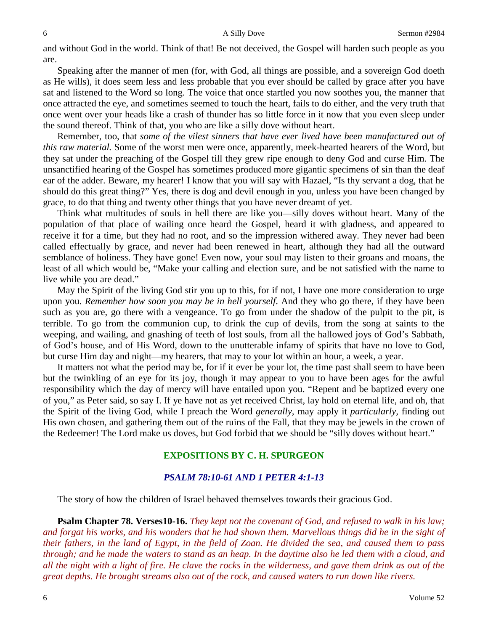and without God in the world. Think of that! Be not deceived, the Gospel will harden such people as you are.

Speaking after the manner of men (for, with God, all things are possible, and a sovereign God doeth as He wills), it does seem less and less probable that you ever should be called by grace after you have sat and listened to the Word so long. The voice that once startled you now soothes you, the manner that once attracted the eye, and sometimes seemed to touch the heart, fails to do either, and the very truth that once went over your heads like a crash of thunder has so little force in it now that you even sleep under the sound thereof. Think of that, you who are like a silly dove without heart.

Remember, too, that *some of the vilest sinners that have ever lived have been manufactured out of this raw material.* Some of the worst men were once, apparently, meek-hearted hearers of the Word, but they sat under the preaching of the Gospel till they grew ripe enough to deny God and curse Him. The unsanctified hearing of the Gospel has sometimes produced more gigantic specimens of sin than the deaf ear of the adder. Beware, my hearer! I know that you will say with Hazael, "Is thy servant a dog, that he should do this great thing?" Yes, there is dog and devil enough in you, unless you have been changed by grace, to do that thing and twenty other things that you have never dreamt of yet.

Think what multitudes of souls in hell there are like you—silly doves without heart. Many of the population of that place of wailing once heard the Gospel, heard it with gladness, and appeared to receive it for a time, but they had no root, and so the impression withered away. They never had been called effectually by grace, and never had been renewed in heart, although they had all the outward semblance of holiness. They have gone! Even now, your soul may listen to their groans and moans, the least of all which would be, "Make your calling and election sure, and be not satisfied with the name to live while you are dead."

May the Spirit of the living God stir you up to this, for if not, I have one more consideration to urge upon you. *Remember how soon you may be in hell yourself*. And they who go there, if they have been such as you are, go there with a vengeance. To go from under the shadow of the pulpit to the pit, is terrible. To go from the communion cup, to drink the cup of devils, from the song at saints to the weeping, and wailing, and gnashing of teeth of lost souls, from all the hallowed joys of God's Sabbath, of God's house, and of His Word, down to the unutterable infamy of spirits that have no love to God, but curse Him day and night—my hearers, that may to your lot within an hour, a week, a year.

It matters not what the period may be, for if it ever be your lot, the time past shall seem to have been but the twinkling of an eye for its joy, though it may appear to you to have been ages for the awful responsibility which the day of mercy will have entailed upon you. "Repent and be baptized every one of you," as Peter said, so say I. If ye have not as yet received Christ, lay hold on eternal life, and oh, that the Spirit of the living God, while I preach the Word *generally,* may apply it *particularly,* finding out His own chosen, and gathering them out of the ruins of the Fall, that they may be jewels in the crown of the Redeemer! The Lord make us doves, but God forbid that we should be "silly doves without heart."

## **EXPOSITIONS BY C. H. SPURGEON**

## *PSALM 78:10-61 AND 1 PETER 4:1-13*

The story of how the children of Israel behaved themselves towards their gracious God.

**Psalm Chapter 78. Verses10-16.** *They kept not the covenant of God, and refused to walk in his law; and forgat his works, and his wonders that he had shown them. Marvellous things did he in the sight of their fathers, in the land of Egypt, in the field of Zoan. He divided the sea, and caused them to pass through; and he made the waters to stand as an heap. In the daytime also he led them with a cloud, and all the night with a light of fire. He clave the rocks in the wilderness, and gave them drink as out of the great depths. He brought streams also out of the rock, and caused waters to run down like rivers.*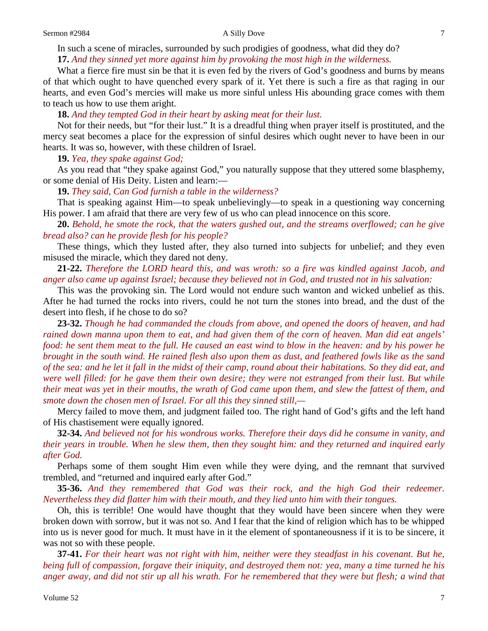In such a scene of miracles, surrounded by such prodigies of goodness, what did they do? **17.** *And they sinned yet more against him by provoking the most high in the wilderness.*

What a fierce fire must sin be that it is even fed by the rivers of God's goodness and burns by means of that which ought to have quenched every spark of it. Yet there is such a fire as that raging in our hearts, and even God's mercies will make us more sinful unless His abounding grace comes with them to teach us how to use them aright.

**18.** *And they tempted God in their heart by asking meat for their lust.*

Not for their needs, but "for their lust." It is a dreadful thing when prayer itself is prostituted, and the mercy seat becomes a place for the expression of sinful desires which ought never to have been in our hearts. It was so, however, with these children of Israel.

**19.** *Yea, they spake against God;*

As you read that "they spake against God," you naturally suppose that they uttered some blasphemy, or some denial of His Deity. Listen and learn:—

**19.** *They said, Can God furnish a table in the wilderness?*

That is speaking against Him—to speak unbelievingly—to speak in a questioning way concerning His power. I am afraid that there are very few of us who can plead innocence on this score.

**20.** *Behold, he smote the rock, that the waters gushed out, and the streams overflowed; can he give bread also? can he provide flesh for his people?*

These things, which they lusted after, they also turned into subjects for unbelief; and they even misused the miracle, which they dared not deny.

**21-22.** *Therefore the LORD heard this, and was wroth: so a fire was kindled against Jacob, and anger also came up against Israel; because they believed not in God, and trusted not in his salvation:*

This was the provoking sin. The Lord would not endure such wanton and wicked unbelief as this. After he had turned the rocks into rivers, could he not turn the stones into bread, and the dust of the desert into flesh, if he chose to do so?

**23-32.** *Though he had commanded the clouds from above, and opened the doors of heaven, and had rained down manna upon them to eat, and had given them of the corn of heaven. Man did eat angels' food: he sent them meat to the full. He caused an east wind to blow in the heaven: and by his power he brought in the south wind. He rained flesh also upon them as dust, and feathered fowls like as the sand of the sea: and he let it fall in the midst of their camp, round about their habitations. So they did eat, and were well filled: for he gave them their own desire; they were not estranged from their lust. But while their meat was yet in their mouths, the wrath of God came upon them, and slew the fattest of them, and smote down the chosen men of Israel. For all this they sinned still,—*

Mercy failed to move them, and judgment failed too. The right hand of God's gifts and the left hand of His chastisement were equally ignored.

**32-34.** *And believed not for his wondrous works. Therefore their days did he consume in vanity, and their years in trouble. When he slew them, then they sought him: and they returned and inquired early after God.*

Perhaps some of them sought Him even while they were dying, and the remnant that survived trembled, and "returned and inquired early after God."

**35-36.** *And they remembered that God was their rock, and the high God their redeemer. Nevertheless they did flatter him with their mouth, and they lied unto him with their tongues.*

Oh, this is terrible! One would have thought that they would have been sincere when they were broken down with sorrow, but it was not so. And I fear that the kind of religion which has to be whipped into us is never good for much. It must have in it the element of spontaneousness if it is to be sincere, it was not so with these people.

**37-41.** *For their heart was not right with him, neither were they steadfast in his covenant. But he, being full of compassion, forgave their iniquity, and destroyed them not: yea, many a time turned he his anger away, and did not stir up all his wrath. For he remembered that they were but flesh; a wind that*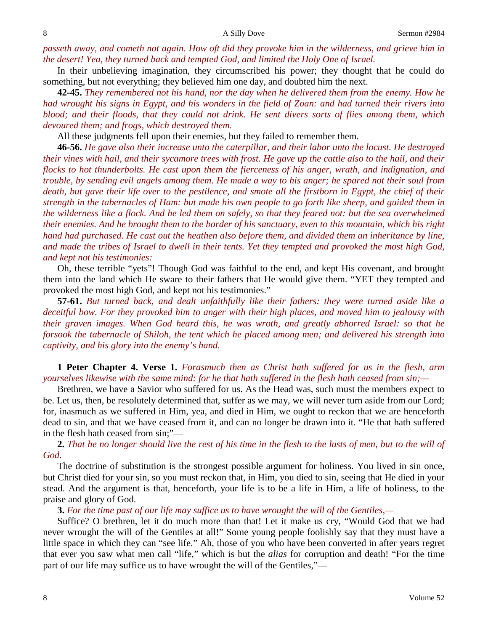passeth away, and cometh not again. How oft did they provoke him in the wilderness, and grieve him in *the desert! Yea, they turned back and tempted God, and limited the Holy One of Israel.*

In their unbelieving imagination, they circumscribed his power; they thought that he could do something, but not everything; they believed him one day, and doubted him the next.

**42-45.** *They remembered not his hand, nor the day when he delivered them from the enemy. How he had wrought his signs in Egypt, and his wonders in the field of Zoan: and had turned their rivers into blood; and their floods, that they could not drink. He sent divers sorts of flies among them, which devoured them; and frogs, which destroyed them.*

All these judgments fell upon their enemies, but they failed to remember them.

**46-56.** *He gave also their increase unto the caterpillar, and their labor unto the locust. He destroyed their vines with hail, and their sycamore trees with frost. He gave up the cattle also to the hail, and their flocks to hot thunderbolts. He cast upon them the fierceness of his anger, wrath, and indignation, and trouble, by sending evil angels among them. He made a way to his anger; he spared not their soul from death, but gave their life over to the pestilence, and smote all the firstborn in Egypt, the chief of their strength in the tabernacles of Ham: but made his own people to go forth like sheep, and guided them in the wilderness like a flock. And he led them on safely, so that they feared not: but the sea overwhelmed their enemies. And he brought them to the border of his sanctuary, even to this mountain, which his right hand had purchased. He cast out the heathen also before them, and divided them an inheritance by line, and made the tribes of Israel to dwell in their tents. Yet they tempted and provoked the most high God, and kept not his testimonies:*

Oh, these terrible "yets"! Though God was faithful to the end, and kept His covenant, and brought them into the land which He sware to their fathers that He would give them. "YET they tempted and provoked the most high God, and kept not his testimonies."

**57-61.** *But turned back, and dealt unfaithfully like their fathers: they were turned aside like a deceitful bow. For they provoked him to anger with their high places, and moved him to jealousy with their graven images. When God heard this, he was wroth, and greatly abhorred Israel: so that he forsook the tabernacle of Shiloh, the tent which he placed among men; and delivered his strength into captivity, and his glory into the enemy's hand.*

**1 Peter Chapter 4. Verse 1.** *Forasmuch then as Christ hath suffered for us in the flesh, arm yourselves likewise with the same mind: for he that hath suffered in the flesh hath ceased from sin;—*

Brethren, we have a Savior who suffered for us. As the Head was, such must the members expect to be. Let us, then, be resolutely determined that, suffer as we may, we will never turn aside from our Lord; for, inasmuch as we suffered in Him, yea, and died in Him, we ought to reckon that we are henceforth dead to sin, and that we have ceased from it, and can no longer be drawn into it. "He that hath suffered in the flesh hath ceased from sin;"—

**2.** *That he no longer should live the rest of his time in the flesh to the lusts of men, but to the will of God.*

The doctrine of substitution is the strongest possible argument for holiness. You lived in sin once, but Christ died for your sin, so you must reckon that, in Him, you died to sin, seeing that He died in your stead. And the argument is that, henceforth, your life is to be a life in Him, a life of holiness, to the praise and glory of God.

**3.** *For the time past of our life may suffice us to have wrought the will of the Gentiles,—*

Suffice? O brethren, let it do much more than that! Let it make us cry, "Would God that we had never wrought the will of the Gentiles at all!" Some young people foolishly say that they must have a little space in which they can "see life." Ah, those of you who have been converted in after years regret that ever you saw what men call "life," which is but the *alias* for corruption and death! "For the time part of our life may suffice us to have wrought the will of the Gentiles,"—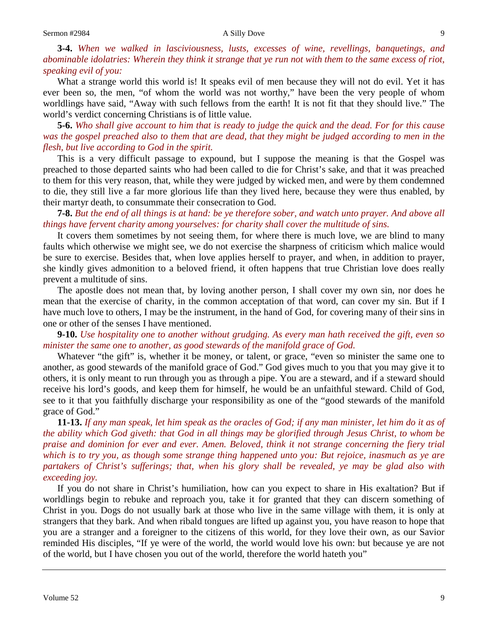### Sermon #2984 **A Silly Dove** A Silly Dove

**3-4.** *When we walked in lasciviousness, lusts, excesses of wine, revellings, banquetings, and abominable idolatries: Wherein they think it strange that ye run not with them to the same excess of riot, speaking evil of you:*

What a strange world this world is! It speaks evil of men because they will not do evil. Yet it has ever been so, the men, "of whom the world was not worthy," have been the very people of whom worldlings have said, "Away with such fellows from the earth! It is not fit that they should live." The world's verdict concerning Christians is of little value.

**5-6.** *Who shall give account to him that is ready to judge the quick and the dead. For for this cause was the gospel preached also to them that are dead, that they might be judged according to men in the flesh, but live according to God in the spirit.*

This is a very difficult passage to expound, but I suppose the meaning is that the Gospel was preached to those departed saints who had been called to die for Christ's sake, and that it was preached to them for this very reason, that, while they were judged by wicked men, and were by them condemned to die, they still live a far more glorious life than they lived here, because they were thus enabled, by their martyr death, to consummate their consecration to God.

**7-8.** *But the end of all things is at hand: be ye therefore sober, and watch unto prayer. And above all things have fervent charity among yourselves: for charity shall cover the multitude of sins.*

It covers them sometimes by not seeing them, for where there is much love, we are blind to many faults which otherwise we might see, we do not exercise the sharpness of criticism which malice would be sure to exercise. Besides that, when love applies herself to prayer, and when, in addition to prayer, she kindly gives admonition to a beloved friend, it often happens that true Christian love does really prevent a multitude of sins.

The apostle does not mean that, by loving another person, I shall cover my own sin, nor does he mean that the exercise of charity, in the common acceptation of that word, can cover my sin. But if I have much love to others, I may be the instrument, in the hand of God, for covering many of their sins in one or other of the senses I have mentioned.

**9-10.** *Use hospitality one to another without grudging. As every man hath received the gift, even so minister the same one to another, as good stewards of the manifold grace of God.*

Whatever "the gift" is, whether it be money, or talent, or grace, "even so minister the same one to another, as good stewards of the manifold grace of God." God gives much to you that you may give it to others, it is only meant to run through you as through a pipe. You are a steward, and if a steward should receive his lord's goods, and keep them for himself, he would be an unfaithful steward. Child of God, see to it that you faithfully discharge your responsibility as one of the "good stewards of the manifold grace of God."

**11-13.** *If any man speak, let him speak as the oracles of God; if any man minister, let him do it as of the ability which God giveth: that God in all things may be glorified through Jesus Christ, to whom be praise and dominion for ever and ever. Amen. Beloved, think it not strange concerning the fiery trial which is to try you, as though some strange thing happened unto you: But rejoice, inasmuch as ye are partakers of Christ's sufferings; that, when his glory shall be revealed, ye may be glad also with exceeding joy.*

If you do not share in Christ's humiliation, how can you expect to share in His exaltation? But if worldlings begin to rebuke and reproach you, take it for granted that they can discern something of Christ in you. Dogs do not usually bark at those who live in the same village with them, it is only at strangers that they bark. And when ribald tongues are lifted up against you, you have reason to hope that you are a stranger and a foreigner to the citizens of this world, for they love their own, as our Savior reminded His disciples, "If ye were of the world, the world would love his own: but because ye are not of the world, but I have chosen you out of the world, therefore the world hateth you"